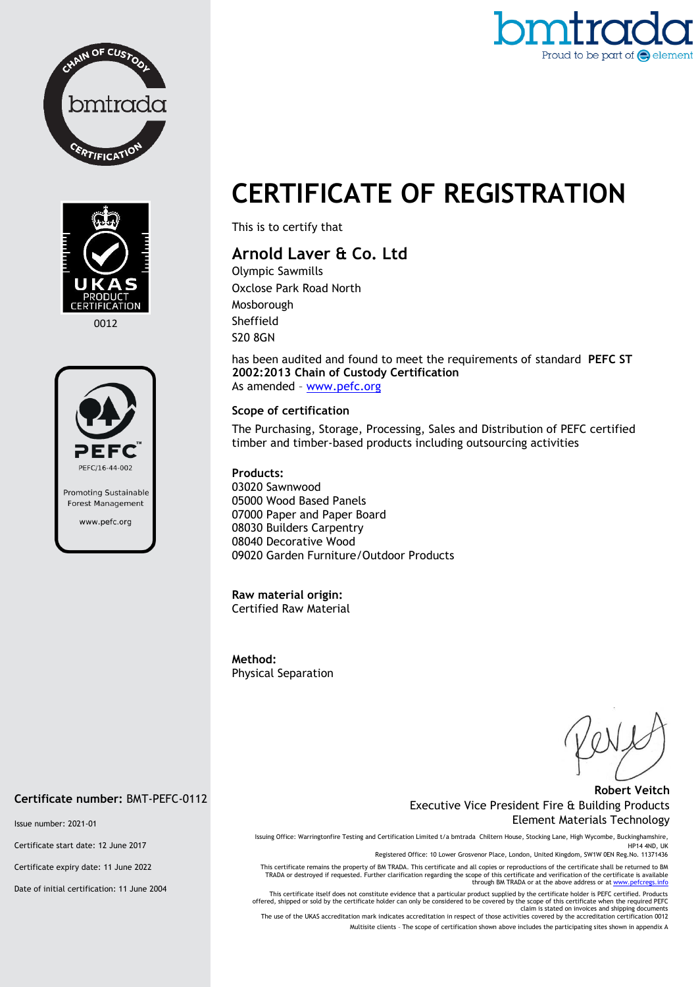



0012



# Proud to be part of  $\bigodot$  element

## **CERTIFICATE OF REGISTRATION**

This is to certify that

### **Arnold Laver & Co. Ltd**

Olympic Sawmills Oxclose Park Road North Mosborough Sheffield S20 8GN

has been audited and found to meet the requirements of standard **PEFC ST 2002:2013 Chain of Custody Certification** As amended – [www.pefc.org](http://www.pefc.org/)

#### **Scope of certification**

The Purchasing, Storage, Processing, Sales and Distribution of PEFC certified timber and timber-based products including outsourcing activities

#### **Products:**

03020 Sawnwood 05000 Wood Based Panels 07000 Paper and Paper Board 08030 Builders Carpentry 08040 Decorative Wood 09020 Garden Furniture/Outdoor Products

#### **Raw material origin:** Certified Raw Material

**Method:**  Physical Separation

#### **Robert Veitch** Executive Vice President Fire & Building Products Element Materials Technology

Issuing Office: Warringtonfire Testing and Certification Limited t/a bmtrada Chiltern House, Stocking Lane, High Wycombe, Buckinghamshire, HP14 4ND, UK

Registered Office: 10 Lower Grosvenor Place, London, United Kingdom, SW1W 0EN Reg.No. 11371436

This certificate remains the property of BM TRADA. This certificate and all copies or reproductions of the certificate shall be returned to BM<br>TRADA or destroyed if requested. Further clarification regarding the scope of t

This certificate itself does not constitute evidence that a particular product supplied by the certificate holder is PEFC certified. Products<br>offered, shipped or sold by the certificate holder can only be considered to be

claim is stated on invoices and shipping documents<br>The use of the UKAS accreditation mark indicates accreditation in respect of those activities covered by the accreditation certification 0012 Multisite clients – The scope of certification shown above includes the participating sites shown in appendix A

#### **Certificate number:** BMT-PEFC-0112

Issue number: 2021-01

Certificate start date: 12 June 2017

Certificate expiry date: 11 June 2022

Date of initial certification: 11 June 2004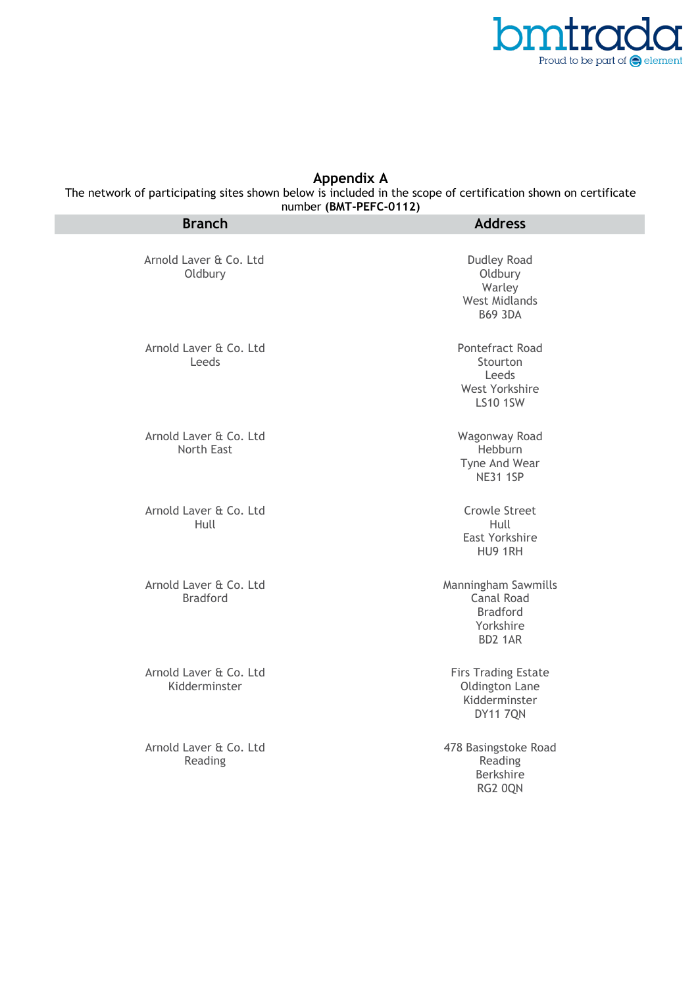

#### **Appendix A**

The network of participating sites shown below is included in the scope of certification shown on certificate

| number (BMT-PEFC-0112)<br><b>Branch</b>   | <b>Address</b>                                                                      |
|-------------------------------------------|-------------------------------------------------------------------------------------|
| Arnold Laver & Co. Ltd<br>Oldbury         | Dudley Road<br>Oldbury<br>Warley<br><b>West Midlands</b><br><b>B69 3DA</b>          |
| Arnold Laver & Co. Ltd<br>Leeds           | Pontefract Road<br>Stourton<br>Leeds<br>West Yorkshire<br><b>LS10 1SW</b>           |
| Arnold Laver & Co. Ltd<br>North East      | Wagonway Road<br>Hebburn<br>Tyne And Wear<br><b>NE31 1SP</b>                        |
| Arnold Laver & Co. Ltd<br>Hull            | <b>Crowle Street</b><br>Hull<br>East Yorkshire<br>HU9 1RH                           |
| Arnold Laver & Co. Ltd<br><b>Bradford</b> | Manningham Sawmills<br><b>Canal Road</b><br><b>Bradford</b><br>Yorkshire<br>BD2 1AR |
| Arnold Laver & Co. Ltd<br>Kidderminster   | <b>Firs Trading Estate</b><br>Oldington Lane<br>Kidderminster<br><b>DY11 7QN</b>    |
| Arnold Laver & Co. Ltd<br>Reading         | 478 Basingstoke Road<br>Reading<br>Berkshire<br>RG2 0QN                             |
|                                           |                                                                                     |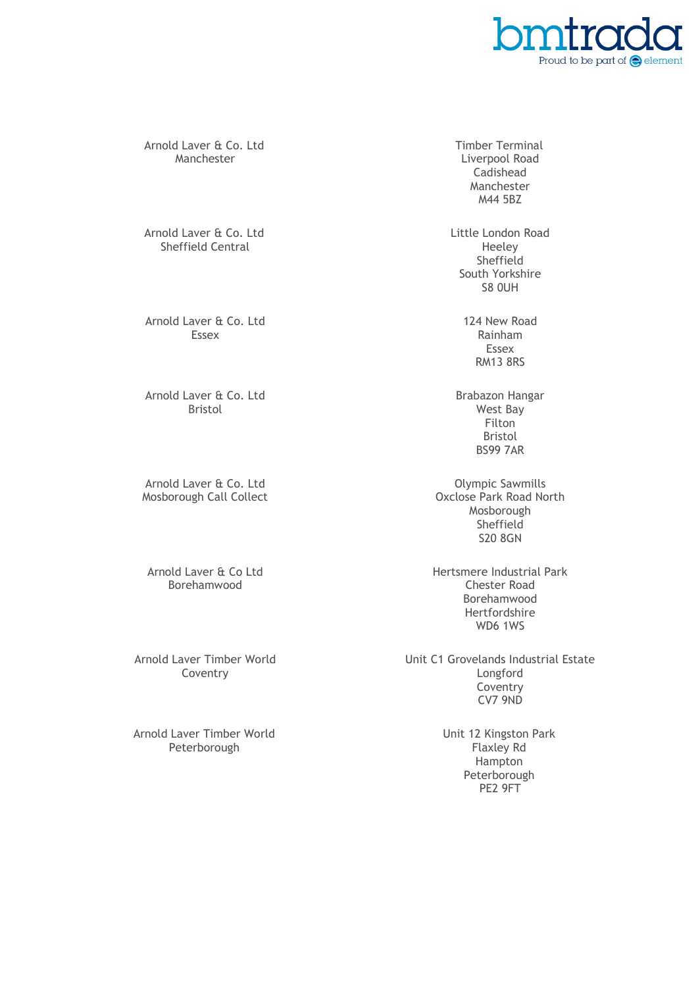

Arnold Laver & Co. Ltd Manchester

Arnold Laver & Co. Ltd Sheffield Central

Arnold Laver & Co. Ltd Essex

Arnold Laver & Co. Ltd Bristol

Arnold Laver & Co. Ltd Mosborough Call Collect

Arnold Laver & Co Ltd Borehamwood

Arnold Laver Timber World Coventry

Arnold Laver Timber World Peterborough

Timber Terminal Liverpool Road Cadishead Manchester M44 5BZ

Little London Road Heeley Sheffield South Yorkshire S8 0UH

> 124 New Road Rainham Essex RM13 8RS

Brabazon Hangar West Bay Filton Bristol BS99 7AR

Olympic Sawmills Oxclose Park Road North Mosborough Sheffield S20 8GN

Hertsmere Industrial Park Chester Road Borehamwood Hertfordshire WD6 1WS

Unit C1 Grovelands Industrial Estate Longford Coventry CV7 9ND

> Unit 12 Kingston Park Flaxley Rd Hampton Peterborough PE2 9FT